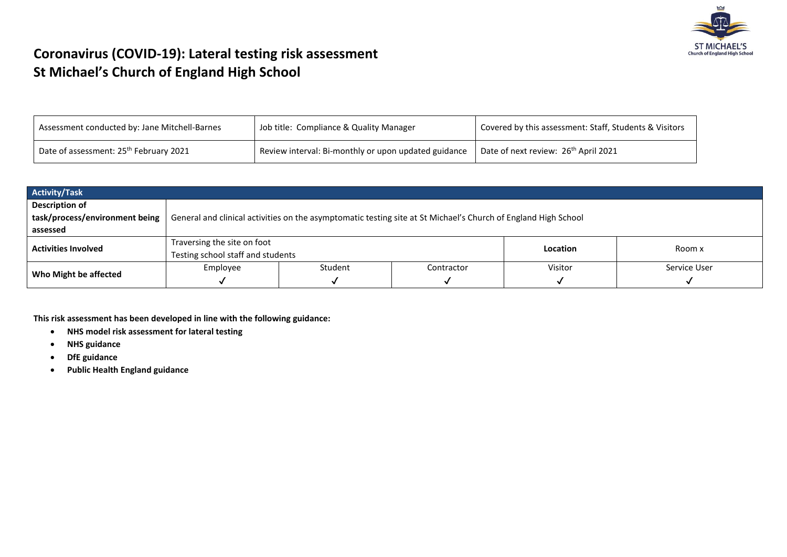

## **Coronavirus (COVID-19): Lateral testing risk assessment St Michael's Church of England High School**

| Assessment conducted by: Jane Mitchell-Barnes      | Job title: Compliance & Quality Manager              | Covered by this assessment: Staff, Students & Visitors |  |  |
|----------------------------------------------------|------------------------------------------------------|--------------------------------------------------------|--|--|
| Date of assessment: 25 <sup>th</sup> February 2021 | Review interval: Bi-monthly or upon updated guidance | Date of next review: 26 <sup>th</sup> April 2021       |  |  |

| <b>Activity/Task</b>           |                                   |                                                                                                                |            |          |              |  |  |  |  |  |
|--------------------------------|-----------------------------------|----------------------------------------------------------------------------------------------------------------|------------|----------|--------------|--|--|--|--|--|
| <b>Description of</b>          |                                   |                                                                                                                |            |          |              |  |  |  |  |  |
| task/process/environment being |                                   | General and clinical activities on the asymptomatic testing site at St Michael's Church of England High School |            |          |              |  |  |  |  |  |
| assessed                       |                                   |                                                                                                                |            |          |              |  |  |  |  |  |
| <b>Activities Involved</b>     | Traversing the site on foot       |                                                                                                                |            | Location | Room x       |  |  |  |  |  |
|                                | Testing school staff and students |                                                                                                                |            |          |              |  |  |  |  |  |
|                                | Employee                          | Student                                                                                                        | Contractor | Visitor  | Service User |  |  |  |  |  |
| Who Might be affected          |                                   |                                                                                                                |            |          |              |  |  |  |  |  |

**This risk assessment has been developed in line with the following guidance:**

- **NHS model risk assessment for lateral testing**
- **NHS guidance**
- **DfE guidance**
- **Public Health England guidance**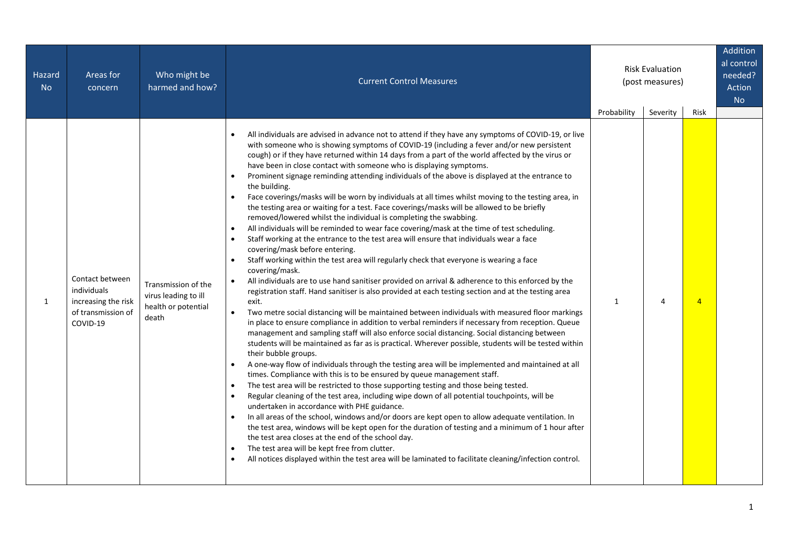| Hazard<br><b>No</b> | Areas for<br>concern                                                                    | Who might be<br>harmed and how?                                             | <b>Current Control Measures</b>                                                                                                                                                                                                                                                                                                                                                                                                                                                                                                                                                                                                                                                                                                                                                                                                                                                                                                                                                                                                                                                                                                                                                                                                                                                                                                                                                                                                                                                                                                                                                                                                                                                                                                                                                                                                                                                                                                                                                                                                                                                                                                                                                                                                                                                                                                                                                                                                                                                                                                                                                                                                                                                                                                                                                | <b>Risk Evaluation</b><br>(post measures) |               |                        | Addition<br>al control<br>needed?<br>Action<br><b>No</b> |
|---------------------|-----------------------------------------------------------------------------------------|-----------------------------------------------------------------------------|--------------------------------------------------------------------------------------------------------------------------------------------------------------------------------------------------------------------------------------------------------------------------------------------------------------------------------------------------------------------------------------------------------------------------------------------------------------------------------------------------------------------------------------------------------------------------------------------------------------------------------------------------------------------------------------------------------------------------------------------------------------------------------------------------------------------------------------------------------------------------------------------------------------------------------------------------------------------------------------------------------------------------------------------------------------------------------------------------------------------------------------------------------------------------------------------------------------------------------------------------------------------------------------------------------------------------------------------------------------------------------------------------------------------------------------------------------------------------------------------------------------------------------------------------------------------------------------------------------------------------------------------------------------------------------------------------------------------------------------------------------------------------------------------------------------------------------------------------------------------------------------------------------------------------------------------------------------------------------------------------------------------------------------------------------------------------------------------------------------------------------------------------------------------------------------------------------------------------------------------------------------------------------------------------------------------------------------------------------------------------------------------------------------------------------------------------------------------------------------------------------------------------------------------------------------------------------------------------------------------------------------------------------------------------------------------------------------------------------------------------------------------------------|-------------------------------------------|---------------|------------------------|----------------------------------------------------------|
| 1                   | Contact between<br>individuals<br>increasing the risk<br>of transmission of<br>COVID-19 | Transmission of the<br>virus leading to ill<br>health or potential<br>death | All individuals are advised in advance not to attend if they have any symptoms of COVID-19, or live<br>$\bullet$<br>with someone who is showing symptoms of COVID-19 (including a fever and/or new persistent<br>cough) or if they have returned within 14 days from a part of the world affected by the virus or<br>have been in close contact with someone who is displaying symptoms.<br>Prominent signage reminding attending individuals of the above is displayed at the entrance to<br>the building.<br>Face coverings/masks will be worn by individuals at all times whilst moving to the testing area, in<br>the testing area or waiting for a test. Face coverings/masks will be allowed to be briefly<br>removed/lowered whilst the individual is completing the swabbing.<br>All individuals will be reminded to wear face covering/mask at the time of test scheduling.<br>$\bullet$<br>Staff working at the entrance to the test area will ensure that individuals wear a face<br>$\bullet$<br>covering/mask before entering.<br>Staff working within the test area will regularly check that everyone is wearing a face<br>$\bullet$<br>covering/mask.<br>All individuals are to use hand sanitiser provided on arrival & adherence to this enforced by the<br>$\bullet$<br>registration staff. Hand sanitiser is also provided at each testing section and at the testing area<br>exit.<br>$\bullet$<br>Two metre social distancing will be maintained between individuals with measured floor markings<br>in place to ensure compliance in addition to verbal reminders if necessary from reception. Queue<br>management and sampling staff will also enforce social distancing. Social distancing between<br>students will be maintained as far as is practical. Wherever possible, students will be tested within<br>their bubble groups.<br>A one-way flow of individuals through the testing area will be implemented and maintained at all<br>$\bullet$<br>times. Compliance with this is to be ensured by queue management staff.<br>The test area will be restricted to those supporting testing and those being tested.<br>$\bullet$<br>Regular cleaning of the test area, including wipe down of all potential touchpoints, will be<br>$\bullet$<br>undertaken in accordance with PHE guidance.<br>In all areas of the school, windows and/or doors are kept open to allow adequate ventilation. In<br>the test area, windows will be kept open for the duration of testing and a minimum of 1 hour after<br>the test area closes at the end of the school day.<br>The test area will be kept free from clutter.<br>$\bullet$<br>All notices displayed within the test area will be laminated to facilitate cleaning/infection control.<br>$\bullet$ | Probability<br>$\mathbf{1}$               | Severity<br>4 | Risk<br>$\overline{4}$ |                                                          |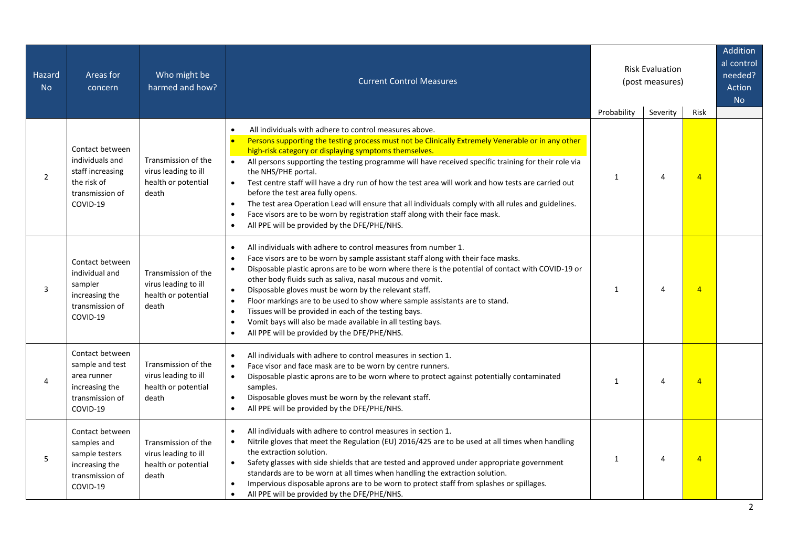| Hazard<br><b>No</b> | Areas for<br>concern                                                                                 | Who might be<br>harmed and how?                                             | <b>Current Control Measures</b>                                                                                                                                                                                                                                                                                                                                                                                                                                                                                                                                                                                                                                                                                                                           | <b>Risk Evaluation</b><br>(post measures) |          |                | Addition<br>al control<br>needed?<br>Action<br><b>No</b> |
|---------------------|------------------------------------------------------------------------------------------------------|-----------------------------------------------------------------------------|-----------------------------------------------------------------------------------------------------------------------------------------------------------------------------------------------------------------------------------------------------------------------------------------------------------------------------------------------------------------------------------------------------------------------------------------------------------------------------------------------------------------------------------------------------------------------------------------------------------------------------------------------------------------------------------------------------------------------------------------------------------|-------------------------------------------|----------|----------------|----------------------------------------------------------|
|                     |                                                                                                      |                                                                             | All individuals with adhere to control measures above.<br>$\bullet$                                                                                                                                                                                                                                                                                                                                                                                                                                                                                                                                                                                                                                                                                       | Probability                               | Severity | Risk           |                                                          |
| $\overline{2}$      | Contact between<br>individuals and<br>staff increasing<br>the risk of<br>transmission of<br>COVID-19 | Transmission of the<br>virus leading to ill<br>health or potential<br>death | Persons supporting the testing process must not be Clinically Extremely Venerable or in any other<br>$\bullet$<br>high-risk category or displaying symptoms themselves.<br>All persons supporting the testing programme will have received specific training for their role via<br>$\bullet$<br>the NHS/PHE portal.<br>Test centre staff will have a dry run of how the test area will work and how tests are carried out<br>$\bullet$<br>before the test area fully opens.<br>The test area Operation Lead will ensure that all individuals comply with all rules and guidelines.<br>$\bullet$<br>Face visors are to be worn by registration staff along with their face mask.<br>$\bullet$<br>All PPE will be provided by the DFE/PHE/NHS.<br>$\bullet$ | 1                                         | 4        | $\overline{4}$ |                                                          |
| 3                   | Contact between<br>individual and<br>sampler<br>increasing the<br>transmission of<br>COVID-19        | Transmission of the<br>virus leading to ill<br>health or potential<br>death | All individuals with adhere to control measures from number 1.<br>$\bullet$<br>Face visors are to be worn by sample assistant staff along with their face masks.<br>$\bullet$<br>Disposable plastic aprons are to be worn where there is the potential of contact with COVID-19 or<br>$\bullet$<br>other body fluids such as saliva, nasal mucous and vomit.<br>Disposable gloves must be worn by the relevant staff.<br>$\bullet$<br>Floor markings are to be used to show where sample assistants are to stand.<br>$\bullet$<br>Tissues will be provided in each of the testing bays.<br>$\bullet$<br>Vomit bays will also be made available in all testing bays.<br>$\bullet$<br>All PPE will be provided by the DFE/PHE/NHS.<br>$\bullet$             | $\mathbf{1}$                              | 4        | $\overline{4}$ |                                                          |
| 4                   | Contact between<br>sample and test<br>area runner<br>increasing the<br>transmission of<br>COVID-19   | Transmission of the<br>virus leading to ill<br>health or potential<br>death | All individuals with adhere to control measures in section 1.<br>$\bullet$<br>Face visor and face mask are to be worn by centre runners.<br>$\bullet$<br>Disposable plastic aprons are to be worn where to protect against potentially contaminated<br>$\bullet$<br>samples.<br>Disposable gloves must be worn by the relevant staff.<br>$\bullet$<br>All PPE will be provided by the DFE/PHE/NHS.<br>$\bullet$                                                                                                                                                                                                                                                                                                                                           | $\mathbf{1}$                              | 4        | $\overline{4}$ |                                                          |
| 5                   | Contact between<br>samples and<br>sample testers<br>increasing the<br>transmission of<br>COVID-19    | Transmission of the<br>virus leading to ill<br>health or potential<br>death | All individuals with adhere to control measures in section 1.<br>$\bullet$<br>Nitrile gloves that meet the Regulation (EU) 2016/425 are to be used at all times when handling<br>$\bullet$<br>the extraction solution.<br>Safety glasses with side shields that are tested and approved under appropriate government<br>$\bullet$<br>standards are to be worn at all times when handling the extraction solution.<br>Impervious disposable aprons are to be worn to protect staff from splashes or spillages.<br>$\bullet$<br>All PPE will be provided by the DFE/PHE/NHS.<br>$\bullet$                                                                                                                                                                   | 1                                         | 4        | $\overline{4}$ |                                                          |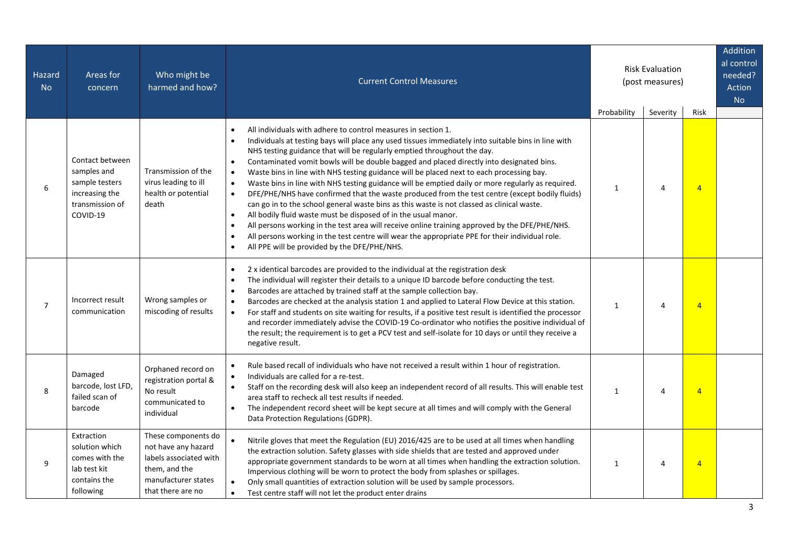| Hazard<br><b>No</b> | Areas for<br>concern                                                                              | Who might be<br>harmed and how?                                                                                                   | <b>Current Control Measures</b>                                                                                                                                                                                                                                                                                                                                                                                                                                                                                                                                                                                                                                                                                                                                                                                                                                                                                                                                                                                                                                                                                                                                             | <b>Risk Evaluation</b><br>(post measures) |               |                        | Addition<br>al control<br>needed?<br>Action<br><b>No</b> |
|---------------------|---------------------------------------------------------------------------------------------------|-----------------------------------------------------------------------------------------------------------------------------------|-----------------------------------------------------------------------------------------------------------------------------------------------------------------------------------------------------------------------------------------------------------------------------------------------------------------------------------------------------------------------------------------------------------------------------------------------------------------------------------------------------------------------------------------------------------------------------------------------------------------------------------------------------------------------------------------------------------------------------------------------------------------------------------------------------------------------------------------------------------------------------------------------------------------------------------------------------------------------------------------------------------------------------------------------------------------------------------------------------------------------------------------------------------------------------|-------------------------------------------|---------------|------------------------|----------------------------------------------------------|
| 6                   | Contact between<br>samples and<br>sample testers<br>increasing the<br>transmission of<br>COVID-19 | Transmission of the<br>virus leading to ill<br>health or potential<br>death                                                       | All individuals with adhere to control measures in section 1.<br>Individuals at testing bays will place any used tissues immediately into suitable bins in line with<br>NHS testing guidance that will be regularly emptied throughout the day.<br>Contaminated vomit bowls will be double bagged and placed directly into designated bins.<br>$\bullet$<br>Waste bins in line with NHS testing guidance will be placed next to each processing bay.<br>$\bullet$<br>Waste bins in line with NHS testing guidance will be emptied daily or more regularly as required.<br>$\bullet$<br>DFE/PHE/NHS have confirmed that the waste produced from the test centre (except bodily fluids)<br>$\bullet$<br>can go in to the school general waste bins as this waste is not classed as clinical waste.<br>All bodily fluid waste must be disposed of in the usual manor.<br>$\bullet$<br>All persons working in the test area will receive online training approved by the DFE/PHE/NHS.<br>$\bullet$<br>All persons working in the test centre will wear the appropriate PPE for their individual role.<br>$\bullet$<br>All PPE will be provided by the DFE/PHE/NHS.<br>$\bullet$ | Probability<br>1                          | Severity<br>4 | Risk<br>$\overline{4}$ |                                                          |
| $\overline{7}$      | Incorrect result<br>communication                                                                 | Wrong samples or<br>miscoding of results                                                                                          | 2 x identical barcodes are provided to the individual at the registration desk<br>$\bullet$<br>The individual will register their details to a unique ID barcode before conducting the test.<br>Barcodes are attached by trained staff at the sample collection bay.<br>$\bullet$<br>Barcodes are checked at the analysis station 1 and applied to Lateral Flow Device at this station.<br>$\bullet$<br>For staff and students on site waiting for results, if a positive test result is identified the processor<br>$\bullet$<br>and recorder immediately advise the COVID-19 Co-ordinator who notifies the positive individual of<br>the result; the requirement is to get a PCV test and self-isolate for 10 days or until they receive a<br>negative result.                                                                                                                                                                                                                                                                                                                                                                                                            | $\mathbf{1}$                              | 4             | $\overline{4}$         |                                                          |
| 8                   | Damaged<br>barcode, lost LFD,<br>failed scan of<br>barcode                                        | Orphaned record on<br>registration portal &<br>No result<br>communicated to<br>individual                                         | Rule based recall of individuals who have not received a result within 1 hour of registration.<br>Individuals are called for a re-test.<br>$\bullet$<br>Staff on the recording desk will also keep an independent record of all results. This will enable test<br>$\bullet$<br>area staff to recheck all test results if needed.<br>The independent record sheet will be kept secure at all times and will comply with the General<br>Data Protection Regulations (GDPR).                                                                                                                                                                                                                                                                                                                                                                                                                                                                                                                                                                                                                                                                                                   | $\mathbf{1}$                              | 4             | $\overline{4}$         |                                                          |
| 9                   | Extraction<br>solution which<br>comes with the<br>lab test kit<br>contains the<br>following       | These components do<br>not have any hazard<br>labels associated with<br>them, and the<br>manufacturer states<br>that there are no | Nitrile gloves that meet the Regulation (EU) 2016/425 are to be used at all times when handling<br>the extraction solution. Safety glasses with side shields that are tested and approved under<br>appropriate government standards to be worn at all times when handling the extraction solution.<br>Impervious clothing will be worn to protect the body from splashes or spillages.<br>Only small quantities of extraction solution will be used by sample processors.<br>$\bullet$<br>Test centre staff will not let the product enter drains                                                                                                                                                                                                                                                                                                                                                                                                                                                                                                                                                                                                                           | $\mathbf{1}$                              | 4             | $\overline{4}$         |                                                          |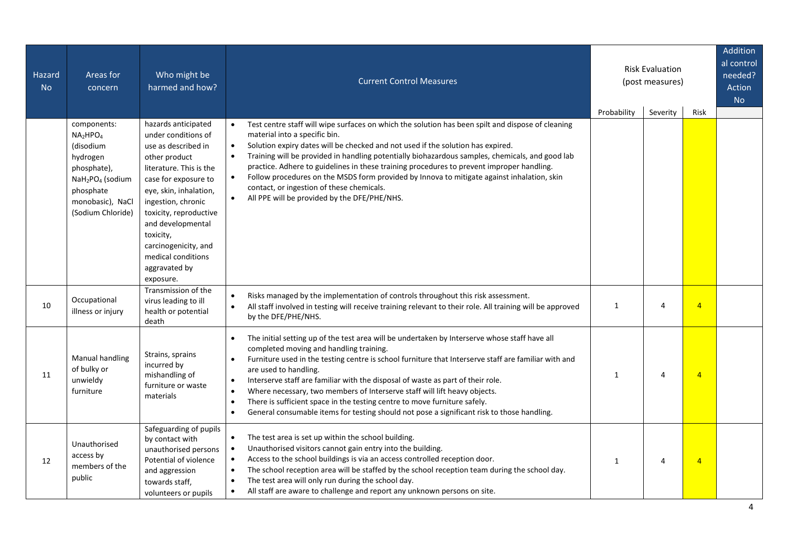| Hazard<br><b>No</b> | Areas for<br>concern                                                                                                                                                                      | Who might be<br>harmed and how?                                                                                                                                                                                 | <b>Current Control Measures</b>                                                                                                                                                                                                                                                                                                                                                                                                                                                                                                                                                                                                                                                                    |              | <b>Risk Evaluation</b><br>(post measures) |                | Addition<br>al control<br>needed?<br>Action<br><b>No</b> |
|---------------------|-------------------------------------------------------------------------------------------------------------------------------------------------------------------------------------------|-----------------------------------------------------------------------------------------------------------------------------------------------------------------------------------------------------------------|----------------------------------------------------------------------------------------------------------------------------------------------------------------------------------------------------------------------------------------------------------------------------------------------------------------------------------------------------------------------------------------------------------------------------------------------------------------------------------------------------------------------------------------------------------------------------------------------------------------------------------------------------------------------------------------------------|--------------|-------------------------------------------|----------------|----------------------------------------------------------|
|                     | components:<br>NA <sub>2</sub> HPO <sub>4</sub><br>(disodium<br>hydrogen<br>phosphate),<br>NaH <sub>2</sub> PO <sub>4</sub> (sodium<br>phosphate<br>monobasic), NaCl<br>(Sodium Chloride) | hazards anticipated<br>under conditions of<br>use as described in<br>other product<br>literature. This is the<br>case for exposure to<br>eye, skin, inhalation,<br>ingestion, chronic<br>toxicity, reproductive | Test centre staff will wipe surfaces on which the solution has been spilt and dispose of cleaning<br>$\bullet$<br>material into a specific bin.<br>Solution expiry dates will be checked and not used if the solution has expired.<br>$\bullet$<br>Training will be provided in handling potentially biohazardous samples, chemicals, and good lab<br>$\bullet$<br>practice. Adhere to guidelines in these training procedures to prevent improper handling.<br>Follow procedures on the MSDS form provided by Innova to mitigate against inhalation, skin<br>contact, or ingestion of these chemicals.<br>All PPE will be provided by the DFE/PHE/NHS.<br>$\bullet$                               | Probability  | Severity                                  | Risk           |                                                          |
|                     |                                                                                                                                                                                           | and developmental<br>toxicity,<br>carcinogenicity, and<br>medical conditions<br>aggravated by<br>exposure.<br>Transmission of the                                                                               | Risks managed by the implementation of controls throughout this risk assessment.<br>$\bullet$                                                                                                                                                                                                                                                                                                                                                                                                                                                                                                                                                                                                      |              |                                           |                |                                                          |
| 10                  | Occupational<br>illness or injury                                                                                                                                                         | virus leading to ill<br>health or potential<br>death                                                                                                                                                            | All staff involved in testing will receive training relevant to their role. All training will be approved<br>$\bullet$<br>by the DFE/PHE/NHS.                                                                                                                                                                                                                                                                                                                                                                                                                                                                                                                                                      | $\mathbf{1}$ | 4                                         | $\overline{4}$ |                                                          |
| 11                  | Manual handling<br>of bulky or<br>unwieldy<br>furniture                                                                                                                                   | Strains, sprains<br>incurred by<br>mishandling of<br>furniture or waste<br>materials                                                                                                                            | The initial setting up of the test area will be undertaken by Interserve whose staff have all<br>$\bullet$<br>completed moving and handling training.<br>Furniture used in the testing centre is school furniture that Interserve staff are familiar with and<br>$\bullet$<br>are used to handling.<br>Interserve staff are familiar with the disposal of waste as part of their role.<br>$\bullet$<br>Where necessary, two members of Interserve staff will lift heavy objects.<br>$\bullet$<br>There is sufficient space in the testing centre to move furniture safely.<br>$\bullet$<br>General consumable items for testing should not pose a significant risk to those handling.<br>$\bullet$ | $\mathbf{1}$ | $\overline{4}$                            | $\overline{4}$ |                                                          |
| 12                  | Unauthorised<br>access by<br>members of the<br>public                                                                                                                                     | Safeguarding of pupils<br>by contact with<br>unauthorised persons<br>Potential of violence<br>and aggression<br>towards staff,<br>volunteers or pupils                                                          | The test area is set up within the school building.<br>$\bullet$<br>Unauthorised visitors cannot gain entry into the building.<br>$\bullet$<br>Access to the school buildings is via an access controlled reception door.<br>$\bullet$<br>The school reception area will be staffed by the school reception team during the school day.<br>$\bullet$<br>The test area will only run during the school day.<br>$\bullet$<br>All staff are aware to challenge and report any unknown persons on site.<br>$\bullet$                                                                                                                                                                                   | $\mathbf{1}$ | $\overline{4}$                            | $\overline{4}$ |                                                          |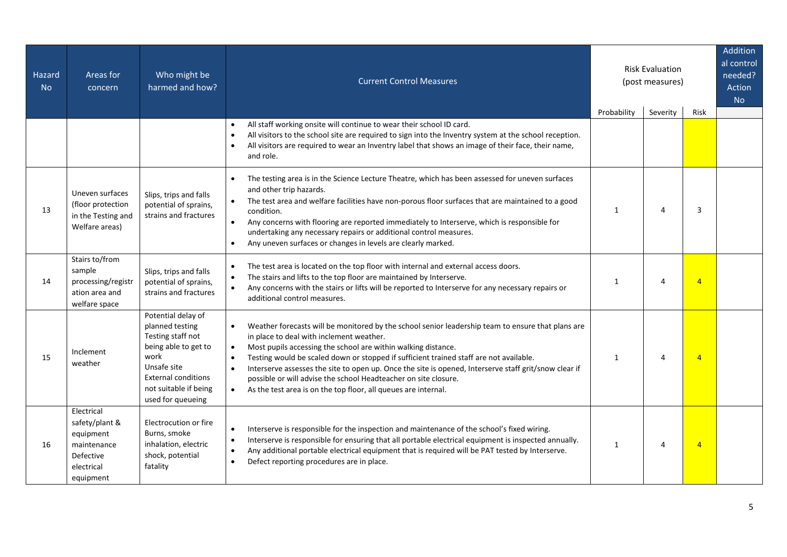| Hazard<br><b>No</b> | Areas for<br>concern                                                                             | Who might be<br>harmed and how?                                                                                                                                                       | <b>Risk Evaluation</b><br><b>Current Control Measures</b><br>(post measures)                                                                                                                                                                                                                                                                                                                                                                                                                                                                                                                               |              |                |                | Addition<br>al control<br>needed?<br>Action<br><b>No</b> |
|---------------------|--------------------------------------------------------------------------------------------------|---------------------------------------------------------------------------------------------------------------------------------------------------------------------------------------|------------------------------------------------------------------------------------------------------------------------------------------------------------------------------------------------------------------------------------------------------------------------------------------------------------------------------------------------------------------------------------------------------------------------------------------------------------------------------------------------------------------------------------------------------------------------------------------------------------|--------------|----------------|----------------|----------------------------------------------------------|
|                     |                                                                                                  |                                                                                                                                                                                       |                                                                                                                                                                                                                                                                                                                                                                                                                                                                                                                                                                                                            | Probability  | Severity       | Risk           |                                                          |
|                     |                                                                                                  |                                                                                                                                                                                       | All staff working onsite will continue to wear their school ID card.<br>All visitors to the school site are required to sign into the Inventry system at the school reception.<br>$\bullet$<br>All visitors are required to wear an Inventry label that shows an image of their face, their name,<br>and role.                                                                                                                                                                                                                                                                                             |              |                |                |                                                          |
| 13                  | Uneven surfaces<br>(floor protection<br>in the Testing and<br>Welfare areas)                     | Slips, trips and falls<br>potential of sprains,<br>strains and fractures                                                                                                              | The testing area is in the Science Lecture Theatre, which has been assessed for uneven surfaces<br>and other trip hazards.<br>The test area and welfare facilities have non-porous floor surfaces that are maintained to a good<br>condition.<br>Any concerns with flooring are reported immediately to Interserve, which is responsible for<br>$\bullet$<br>undertaking any necessary repairs or additional control measures.<br>Any uneven surfaces or changes in levels are clearly marked.<br>$\bullet$                                                                                                | $\mathbf{1}$ | 4              | 3              |                                                          |
| 14                  | Stairs to/from<br>sample<br>processing/registr<br>ation area and<br>welfare space                | Slips, trips and falls<br>potential of sprains,<br>strains and fractures                                                                                                              | The test area is located on the top floor with internal and external access doors.<br>$\bullet$<br>The stairs and lifts to the top floor are maintained by Interserve.<br>$\bullet$<br>Any concerns with the stairs or lifts will be reported to Interserve for any necessary repairs or<br>$\bullet$<br>additional control measures.                                                                                                                                                                                                                                                                      | $\mathbf{1}$ | $\overline{4}$ | $\overline{4}$ |                                                          |
| 15                  | Inclement<br>weather                                                                             | Potential delay of<br>planned testing<br>Testing staff not<br>being able to get to<br>work<br>Unsafe site<br><b>External conditions</b><br>not suitable if being<br>used for queueing | Weather forecasts will be monitored by the school senior leadership team to ensure that plans are<br>$\bullet$<br>in place to deal with inclement weather.<br>Most pupils accessing the school are within walking distance.<br>$\bullet$<br>Testing would be scaled down or stopped if sufficient trained staff are not available.<br>$\bullet$<br>Interserve assesses the site to open up. Once the site is opened, Interserve staff grit/snow clear if<br>possible or will advise the school Headteacher on site closure.<br>$\bullet$<br>As the test area is on the top floor, all queues are internal. | $\mathbf{1}$ | $\overline{4}$ | $\overline{4}$ |                                                          |
| 16                  | Electrical<br>safety/plant &<br>equipment<br>maintenance<br>Defective<br>electrical<br>equipment | Electrocution or fire<br>Burns, smoke<br>inhalation, electric<br>shock, potential<br>fatality                                                                                         | Interserve is responsible for the inspection and maintenance of the school's fixed wiring.<br>$\bullet$<br>Interserve is responsible for ensuring that all portable electrical equipment is inspected annually.<br>$\bullet$<br>Any additional portable electrical equipment that is required will be PAT tested by Interserve.<br>$\bullet$<br>Defect reporting procedures are in place.<br>$\bullet$                                                                                                                                                                                                     | $\mathbf{1}$ | 4              | $\overline{4}$ |                                                          |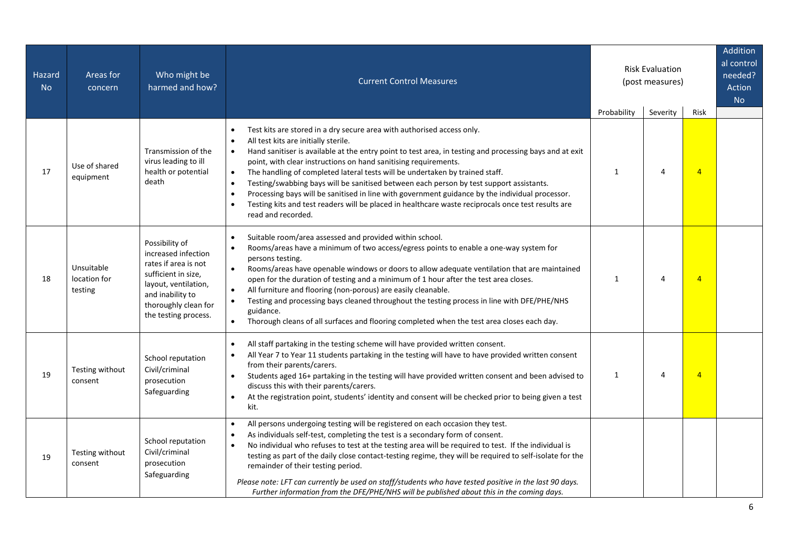| <b>Hazard</b><br><b>No</b> | Areas for<br>concern                  | Who might be<br>harmed and how?                                                                                                                                                  | <b>Current Control Measures</b>                                                                                                                                                                                                                                                                                                                                                                                                                                                                                                                                                                                                                                                                                                                                                      |                             | <b>Risk Evaluation</b><br>(post measures) |                        | Addition<br>al control<br>needed?<br>Action<br><b>No</b> |
|----------------------------|---------------------------------------|----------------------------------------------------------------------------------------------------------------------------------------------------------------------------------|--------------------------------------------------------------------------------------------------------------------------------------------------------------------------------------------------------------------------------------------------------------------------------------------------------------------------------------------------------------------------------------------------------------------------------------------------------------------------------------------------------------------------------------------------------------------------------------------------------------------------------------------------------------------------------------------------------------------------------------------------------------------------------------|-----------------------------|-------------------------------------------|------------------------|----------------------------------------------------------|
| 17                         | Use of shared<br>equipment            | Transmission of the<br>virus leading to ill<br>health or potential<br>death                                                                                                      | Test kits are stored in a dry secure area with authorised access only.<br>All test kits are initially sterile.<br>$\bullet$<br>Hand sanitiser is available at the entry point to test area, in testing and processing bays and at exit<br>$\bullet$<br>point, with clear instructions on hand sanitising requirements.<br>The handling of completed lateral tests will be undertaken by trained staff.<br>$\bullet$<br>Testing/swabbing bays will be sanitised between each person by test support assistants.<br>$\bullet$<br>Processing bays will be sanitised in line with government guidance by the individual processor.<br>$\bullet$<br>Testing kits and test readers will be placed in healthcare waste reciprocals once test results are<br>$\bullet$<br>read and recorded. | Probability<br>$\mathbf{1}$ | Severity<br>4                             | Risk<br>$\overline{4}$ |                                                          |
| 18                         | Unsuitable<br>location for<br>testing | Possibility of<br>increased infection<br>rates if area is not<br>sufficient in size,<br>layout, ventilation,<br>and inability to<br>thoroughly clean for<br>the testing process. | Suitable room/area assessed and provided within school.<br>$\bullet$<br>Rooms/areas have a minimum of two access/egress points to enable a one-way system for<br>$\bullet$<br>persons testing.<br>Rooms/areas have openable windows or doors to allow adequate ventilation that are maintained<br>$\bullet$<br>open for the duration of testing and a minimum of 1 hour after the test area closes.<br>All furniture and flooring (non-porous) are easily cleanable.<br>$\bullet$<br>Testing and processing bays cleaned throughout the testing process in line with DFE/PHE/NHS<br>$\bullet$<br>guidance.<br>Thorough cleans of all surfaces and flooring completed when the test area closes each day.<br>$\bullet$                                                                | $\mathbf{1}$                | 4                                         | $\overline{4}$         |                                                          |
| 19                         | Testing without<br>consent            | School reputation<br>Civil/criminal<br>prosecution<br>Safeguarding                                                                                                               | All staff partaking in the testing scheme will have provided written consent.<br>$\bullet$<br>All Year 7 to Year 11 students partaking in the testing will have to have provided written consent<br>$\bullet$<br>from their parents/carers.<br>Students aged 16+ partaking in the testing will have provided written consent and been advised to<br>$\bullet$<br>discuss this with their parents/carers.<br>At the registration point, students' identity and consent will be checked prior to being given a test<br>$\bullet$<br>kit.                                                                                                                                                                                                                                               | $\mathbf{1}$                | 4                                         | $\overline{4}$         |                                                          |
| 19                         | Testing without<br>consent            | School reputation<br>Civil/criminal<br>prosecution<br>Safeguarding                                                                                                               | All persons undergoing testing will be registered on each occasion they test.<br>$\bullet$<br>As individuals self-test, completing the test is a secondary form of consent.<br>$\bullet$<br>No individual who refuses to test at the testing area will be required to test. If the individual is<br>$\bullet$<br>testing as part of the daily close contact-testing regime, they will be required to self-isolate for the<br>remainder of their testing period.<br>Please note: LFT can currently be used on staff/students who have tested positive in the last 90 days.<br>Further information from the DFE/PHE/NHS will be published about this in the coming days.                                                                                                               |                             |                                           |                        |                                                          |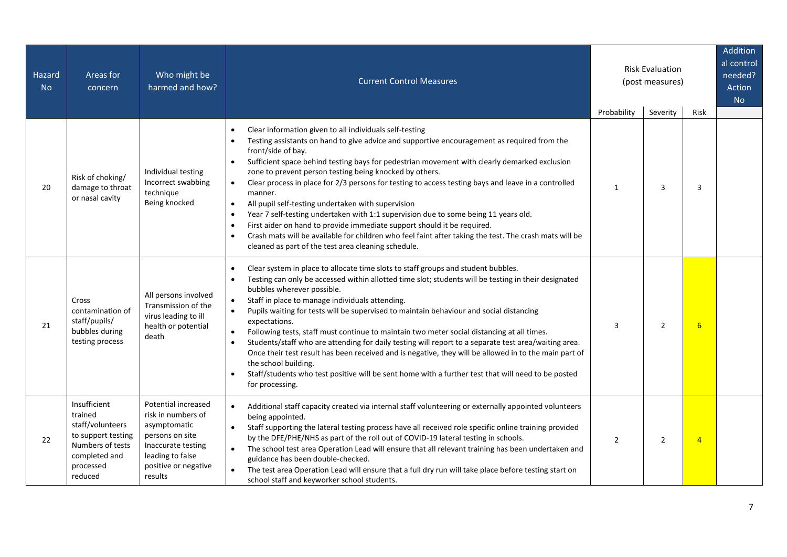| Hazard<br><b>No</b> | Areas for<br>concern                                                                                                           | Who might be<br>harmed and how?                                                                                                                           | <b>Current Control Measures</b>                                                                                                                                                                                                                                                                                                                                                                                                                                                                                                                                                                                                                                                                                                                                                                                                                                                                                                  |                | <b>Risk Evaluation</b><br>(post measures) |                |  |  |  |  |  |  |  |  | Addition<br>al control<br>needed?<br>Action<br><b>No</b> |
|---------------------|--------------------------------------------------------------------------------------------------------------------------------|-----------------------------------------------------------------------------------------------------------------------------------------------------------|----------------------------------------------------------------------------------------------------------------------------------------------------------------------------------------------------------------------------------------------------------------------------------------------------------------------------------------------------------------------------------------------------------------------------------------------------------------------------------------------------------------------------------------------------------------------------------------------------------------------------------------------------------------------------------------------------------------------------------------------------------------------------------------------------------------------------------------------------------------------------------------------------------------------------------|----------------|-------------------------------------------|----------------|--|--|--|--|--|--|--|--|----------------------------------------------------------|
|                     |                                                                                                                                |                                                                                                                                                           |                                                                                                                                                                                                                                                                                                                                                                                                                                                                                                                                                                                                                                                                                                                                                                                                                                                                                                                                  | Probability    | Severity                                  | Risk           |  |  |  |  |  |  |  |  |                                                          |
| 20                  | Risk of choking/<br>damage to throat<br>or nasal cavity                                                                        | Individual testing<br>Incorrect swabbing<br>technique<br>Being knocked                                                                                    | Clear information given to all individuals self-testing<br>Testing assistants on hand to give advice and supportive encouragement as required from the<br>front/side of bay.<br>Sufficient space behind testing bays for pedestrian movement with clearly demarked exclusion<br>$\bullet$<br>zone to prevent person testing being knocked by others.<br>Clear process in place for 2/3 persons for testing to access testing bays and leave in a controlled<br>$\bullet$<br>manner.<br>All pupil self-testing undertaken with supervision<br>$\bullet$<br>Year 7 self-testing undertaken with 1:1 supervision due to some being 11 years old.<br>$\bullet$<br>First aider on hand to provide immediate support should it be required.<br>$\bullet$<br>Crash mats will be available for children who feel faint after taking the test. The crash mats will be<br>$\bullet$<br>cleaned as part of the test area cleaning schedule. | $\mathbf{1}$   | 3                                         | 3              |  |  |  |  |  |  |  |  |                                                          |
| 21                  | Cross<br>contamination of<br>staff/pupils/<br>bubbles during<br>testing process                                                | All persons involved<br>Transmission of the<br>virus leading to ill<br>health or potential<br>death                                                       | Clear system in place to allocate time slots to staff groups and student bubbles.<br>$\bullet$<br>Testing can only be accessed within allotted time slot; students will be testing in their designated<br>bubbles wherever possible.<br>Staff in place to manage individuals attending.<br>$\bullet$<br>Pupils waiting for tests will be supervised to maintain behaviour and social distancing<br>$\bullet$<br>expectations.<br>Following tests, staff must continue to maintain two meter social distancing at all times.<br>$\bullet$<br>Students/staff who are attending for daily testing will report to a separate test area/waiting area.<br>$\bullet$<br>Once their test result has been received and is negative, they will be allowed in to the main part of<br>the school building.<br>Staff/students who test positive will be sent home with a further test that will need to be posted<br>for processing.          | $\overline{3}$ | $\overline{2}$                            | 6              |  |  |  |  |  |  |  |  |                                                          |
| 22                  | Insufficient<br>trained<br>staff/volunteers<br>to support testing<br>Numbers of tests<br>completed and<br>processed<br>reduced | Potential increased<br>risk in numbers of<br>asymptomatic<br>persons on site<br>Inaccurate testing<br>leading to false<br>positive or negative<br>results | Additional staff capacity created via internal staff volunteering or externally appointed volunteers<br>being appointed.<br>Staff supporting the lateral testing process have all received role specific online training provided<br>by the DFE/PHE/NHS as part of the roll out of COVID-19 lateral testing in schools.<br>The school test area Operation Lead will ensure that all relevant training has been undertaken and<br>$\bullet$<br>guidance has been double-checked.<br>The test area Operation Lead will ensure that a full dry run will take place before testing start on<br>school staff and keyworker school students.                                                                                                                                                                                                                                                                                           | 2              | $\overline{2}$                            | $\overline{4}$ |  |  |  |  |  |  |  |  |                                                          |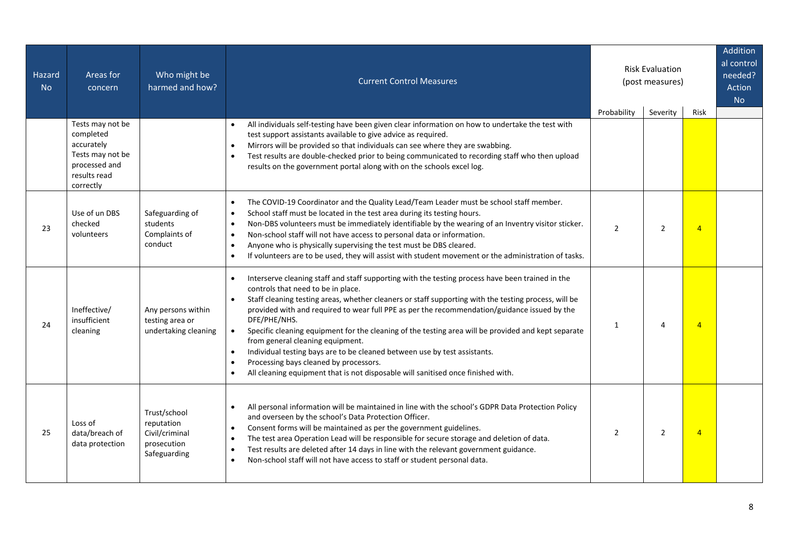| Hazard<br><b>No</b> | Areas for<br>concern                                                         | Who might be<br>harmed and how?                                             | <b>Current Control Measures</b>                                                                                                                                                                                                                                                                                                                                                                                                                                                                                                                                                                                                                                                                                                                                          |                | <b>Risk Evaluation</b><br>(post measures) |                |  |  | Addition<br>al control<br>needed?<br>Action<br><b>No</b> |
|---------------------|------------------------------------------------------------------------------|-----------------------------------------------------------------------------|--------------------------------------------------------------------------------------------------------------------------------------------------------------------------------------------------------------------------------------------------------------------------------------------------------------------------------------------------------------------------------------------------------------------------------------------------------------------------------------------------------------------------------------------------------------------------------------------------------------------------------------------------------------------------------------------------------------------------------------------------------------------------|----------------|-------------------------------------------|----------------|--|--|----------------------------------------------------------|
|                     | Tests may not be<br>completed                                                |                                                                             | All individuals self-testing have been given clear information on how to undertake the test with<br>test support assistants available to give advice as required.                                                                                                                                                                                                                                                                                                                                                                                                                                                                                                                                                                                                        | Probability    | Severity                                  | Risk           |  |  |                                                          |
|                     | accurately<br>Tests may not be<br>processed and<br>results read<br>correctly |                                                                             | Mirrors will be provided so that individuals can see where they are swabbing.<br>$\bullet$<br>Test results are double-checked prior to being communicated to recording staff who then upload<br>$\bullet$<br>results on the government portal along with on the schools excel log.                                                                                                                                                                                                                                                                                                                                                                                                                                                                                       |                |                                           |                |  |  |                                                          |
| 23                  | Use of un DBS<br>checked<br>volunteers                                       | Safeguarding of<br>students<br>Complaints of<br>conduct                     | The COVID-19 Coordinator and the Quality Lead/Team Leader must be school staff member.<br>$\bullet$<br>School staff must be located in the test area during its testing hours.<br>$\bullet$<br>Non-DBS volunteers must be immediately identifiable by the wearing of an Inventry visitor sticker.<br>$\bullet$<br>Non-school staff will not have access to personal data or information.<br>$\bullet$<br>Anyone who is physically supervising the test must be DBS cleared.<br>$\bullet$<br>If volunteers are to be used, they will assist with student movement or the administration of tasks.<br>$\bullet$                                                                                                                                                            | $\overline{2}$ | $\overline{2}$                            | $\overline{4}$ |  |  |                                                          |
| 24                  | Ineffective/<br>insufficient<br>cleaning                                     | Any persons within<br>testing area or<br>undertaking cleaning               | Interserve cleaning staff and staff supporting with the testing process have been trained in the<br>controls that need to be in place.<br>Staff cleaning testing areas, whether cleaners or staff supporting with the testing process, will be<br>$\bullet$<br>provided with and required to wear full PPE as per the recommendation/guidance issued by the<br>DFE/PHE/NHS.<br>Specific cleaning equipment for the cleaning of the testing area will be provided and kept separate<br>$\bullet$<br>from general cleaning equipment.<br>Individual testing bays are to be cleaned between use by test assistants.<br>$\bullet$<br>Processing bays cleaned by processors.<br>$\bullet$<br>All cleaning equipment that is not disposable will sanitised once finished with. | $\mathbf{1}$   | 4                                         | $\overline{4}$ |  |  |                                                          |
| 25                  | Loss of<br>data/breach of<br>data protection                                 | Trust/school<br>reputation<br>Civil/criminal<br>prosecution<br>Safeguarding | All personal information will be maintained in line with the school's GDPR Data Protection Policy<br>and overseen by the school's Data Protection Officer.<br>Consent forms will be maintained as per the government guidelines.<br>$\bullet$<br>The test area Operation Lead will be responsible for secure storage and deletion of data.<br>$\bullet$<br>Test results are deleted after 14 days in line with the relevant government guidance.<br>$\bullet$<br>Non-school staff will not have access to staff or student personal data.<br>$\bullet$                                                                                                                                                                                                                   | $\overline{2}$ | 2                                         | $\overline{4}$ |  |  |                                                          |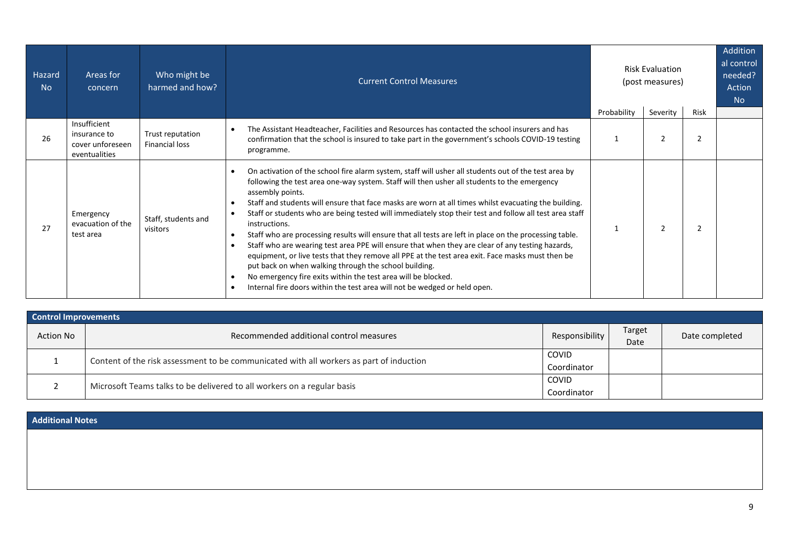| Hazard<br><b>No</b> | Areas for<br>concern                                              | Who might be<br>harmed and how?           | <b>Current Control Measures</b>                                                                                                                                                                                                                                                                                                                                                                                                                                                                                                                                                                                                                                                                                                                                                                                                                                                                                                                                                     | <b>Risk Evaluation</b><br>(post measures)<br>Probability<br>Severity<br>Risk |                | Addition<br>al control<br>needed?<br>Action<br>N <sub>o</sub> |  |
|---------------------|-------------------------------------------------------------------|-------------------------------------------|-------------------------------------------------------------------------------------------------------------------------------------------------------------------------------------------------------------------------------------------------------------------------------------------------------------------------------------------------------------------------------------------------------------------------------------------------------------------------------------------------------------------------------------------------------------------------------------------------------------------------------------------------------------------------------------------------------------------------------------------------------------------------------------------------------------------------------------------------------------------------------------------------------------------------------------------------------------------------------------|------------------------------------------------------------------------------|----------------|---------------------------------------------------------------|--|
| 26                  | Insufficient<br>insurance to<br>cover unforeseen<br>eventualities | Trust reputation<br><b>Financial loss</b> | The Assistant Headteacher, Facilities and Resources has contacted the school insurers and has<br>confirmation that the school is insured to take part in the government's schools COVID-19 testing<br>programme.                                                                                                                                                                                                                                                                                                                                                                                                                                                                                                                                                                                                                                                                                                                                                                    |                                                                              | $\overline{2}$ | $\overline{2}$                                                |  |
| 27                  | Emergency<br>evacuation of the<br>test area                       | Staff, students and<br>visitors           | On activation of the school fire alarm system, staff will usher all students out of the test area by<br>following the test area one-way system. Staff will then usher all students to the emergency<br>assembly points.<br>Staff and students will ensure that face masks are worn at all times whilst evacuating the building.<br>Staff or students who are being tested will immediately stop their test and follow all test area staff<br>instructions.<br>Staff who are processing results will ensure that all tests are left in place on the processing table.<br>Staff who are wearing test area PPE will ensure that when they are clear of any testing hazards,<br>equipment, or live tests that they remove all PPE at the test area exit. Face masks must then be<br>put back on when walking through the school building.<br>No emergency fire exits within the test area will be blocked.<br>Internal fire doors within the test area will not be wedged or held open. |                                                                              | $\overline{2}$ | 2                                                             |  |

|                  | <b>Control Improvements</b>                                                             |                |                |                |  |  |  |  |  |  |  |
|------------------|-----------------------------------------------------------------------------------------|----------------|----------------|----------------|--|--|--|--|--|--|--|
| <b>Action No</b> | Recommended additional control measures                                                 | Responsibility | Target<br>Date | Date completed |  |  |  |  |  |  |  |
|                  |                                                                                         |                |                |                |  |  |  |  |  |  |  |
|                  | Content of the risk assessment to be communicated with all workers as part of induction | Coordinator    |                |                |  |  |  |  |  |  |  |
|                  | Microsoft Teams talks to be delivered to all workers on a regular basis                 |                |                |                |  |  |  |  |  |  |  |
|                  |                                                                                         |                |                |                |  |  |  |  |  |  |  |

**Additional Notes**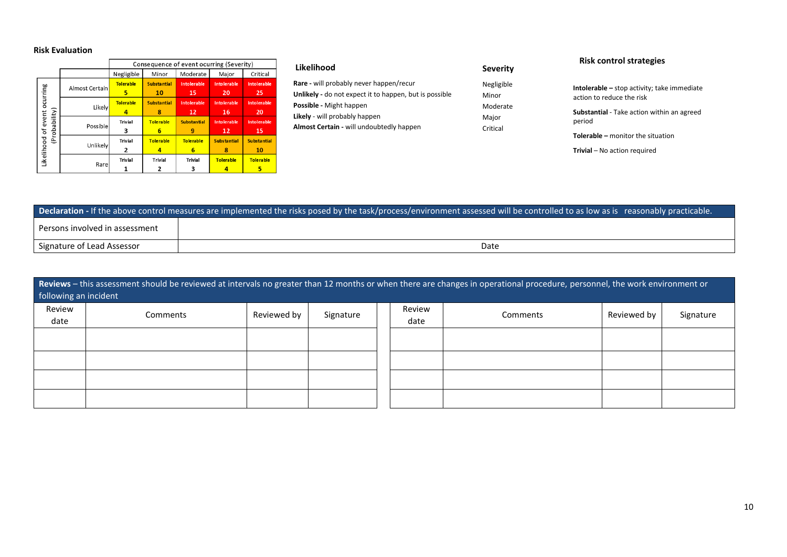## **Risk Evaluation**

|  |                                      |                        | Consequence of event ocurring (Severity) |                          |                          |                           |                          |  |
|--|--------------------------------------|------------------------|------------------------------------------|--------------------------|--------------------------|---------------------------|--------------------------|--|
|  |                                      |                        | Negligible                               | Minor                    | Moderate                 | Major                     | Critical                 |  |
|  | ocurring                             | Almost Certain         | <b>Tolerable</b><br>5                    | <b>Substantial</b><br>10 | <b>Intolerable</b><br>15 | <b>Into lerable</b><br>20 | <b>Intolerable</b><br>25 |  |
|  |                                      | Likely                 | <b>Tolerable</b>                         | <b>Substantial</b><br>8  | <b>Intolerable</b><br>12 | <b>Into lerable</b><br>16 | <b>Intolerable</b><br>20 |  |
|  | (Probability)<br>Likelihood of event | Possible               | <b>Trivial</b><br>3                      | <b>Tolerable</b><br>6    | <b>Substantial</b><br>9  | <b>Into lerable</b><br>12 | <b>Intolerable</b><br>15 |  |
|  |                                      |                        | <b>Trivial</b><br>Unlikely<br>2          |                          | <b>Tolerable</b><br>6    | <b>Substantial</b><br>8   | <b>Substantial</b><br>10 |  |
|  |                                      | <b>Trivial</b><br>Rare |                                          | <b>Trivial</b>           | <b>Trivial</b>           | <b>Tolerable</b>          | <b>Tolerable</b>         |  |

| Likelihood                                                    | <b>Severity</b> |
|---------------------------------------------------------------|-----------------|
| Rare - will probably never happen/recur                       | Negligible      |
| <b>Unlikely</b> - do not expect it to happen, but is possible | Minor           |
| Possible - Might happen                                       | Moderate        |
| Likely - will probably happen                                 | Major           |
| Almost Certain - will undoubtedly happen                      | Critical        |

## **Risk control strategies**

| <b>Intolerable</b> – stop activity; take immediate<br>action to reduce the risk |
|---------------------------------------------------------------------------------|
| <b>Substantial</b> - Take action within an agreed<br>period                     |
| <b>Tolerable - monitor the situation</b>                                        |

**Trivial** – No action required

| Declaration - If the above control measures are implemented the risks posed by the task/process/environment assessed will be controlled to as low as is reasonably practicable. |      |  |  |  |  |  |  |
|---------------------------------------------------------------------------------------------------------------------------------------------------------------------------------|------|--|--|--|--|--|--|
| Persons involved in assessment                                                                                                                                                  |      |  |  |  |  |  |  |
| Signature of Lead Assessor                                                                                                                                                      | Date |  |  |  |  |  |  |

| Reviews - this assessment should be reviewed at intervals no greater than 12 months or when there are changes in operational procedure, personnel, the work environment or<br>following an incident |          |             |           |  |                |          |             |           |
|-----------------------------------------------------------------------------------------------------------------------------------------------------------------------------------------------------|----------|-------------|-----------|--|----------------|----------|-------------|-----------|
| Review<br>date                                                                                                                                                                                      | Comments | Reviewed by | Signature |  | Review<br>date | Comments | Reviewed by | Signature |
|                                                                                                                                                                                                     |          |             |           |  |                |          |             |           |
|                                                                                                                                                                                                     |          |             |           |  |                |          |             |           |
|                                                                                                                                                                                                     |          |             |           |  |                |          |             |           |
|                                                                                                                                                                                                     |          |             |           |  |                |          |             |           |